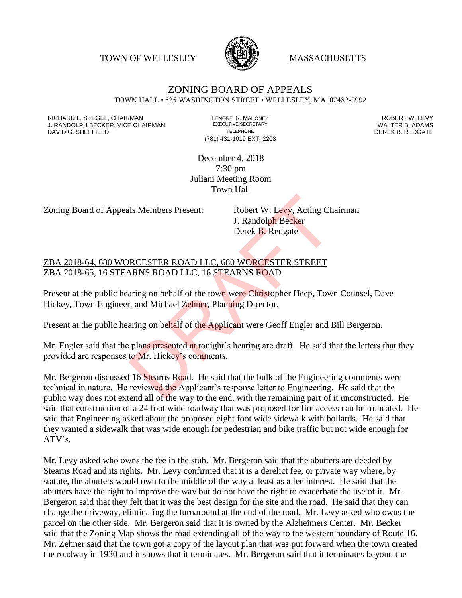TOWN OF WELLESLEY **WASSACHUSETTS** 



## ZONING BOARD OF APPEALS TOWN HALL • 525 WASHINGTON STREET • WELLESLEY, MA 02482-5992

RICHARD L. SEEGEL, CHAIRMAN LENORE R. MAHONEY ROBERT W. LEVY J. RANDOLPH BECKER, VICE CHAIRMAN EXECUTIVE SECRETARY THE SANDOLPH BECKER B. ADAMS<br>DEREK B. REDGATE TELEPHONE THE THE THE SAND DEREK B. REDGATE

(781) 431-1019 EXT. 2208

DEREK B. REDGATE

December 4, 2018 7:30 pm Juliani Meeting Room Town Hall

Zoning Board of Appeals Members Present: Robert W. Levy, Acting Chairman

J. Randolph Becker Derek B. Redgate

ZBA 2018-64, 680 WORCESTER ROAD LLC, 680 WORCESTER STREET ZBA 2018-65, 16 STEARNS ROAD LLC, 16 STEARNS ROAD

Present at the public hearing on behalf of the town were Christopher Heep, Town Counsel, Dave Hickey, Town Engineer, and Michael Zehner, Planning Director.

Present at the public hearing on behalf of the Applicant were Geoff Engler and Bill Bergeron.

Mr. Engler said that the plans presented at tonight's hearing are draft. He said that the letters that they provided are responses to Mr. Hickey's comments.

Mr. Bergeron discussed 16 Stearns Road. He said that the bulk of the Engineering comments were technical in nature. He reviewed the Applicant's response letter to Engineering. He said that the public way does not extend all of the way to the end, with the remaining part of it unconstructed. He said that construction of a 24 foot wide roadway that was proposed for fire access can be truncated. He said that Engineering asked about the proposed eight foot wide sidewalk with bollards. He said that they wanted a sidewalk that was wide enough for pedestrian and bike traffic but not wide enough for ATV's. Is Members Present: Robert W. Levy, Acting Ch<br>
J. Randolph Becker<br>
Derek B. Redgate<br>
RCESTER ROAD LLC, 680 WORCESTER STREET<br>
NRNS ROAD LLC, 16 STEARNS ROAD<br>
Training on behalf of the town were Christopher Heep, Tow.<br>
Then

Mr. Levy asked who owns the fee in the stub. Mr. Bergeron said that the abutters are deeded by Stearns Road and its rights. Mr. Levy confirmed that it is a derelict fee, or private way where, by statute, the abutters would own to the middle of the way at least as a fee interest. He said that the abutters have the right to improve the way but do not have the right to exacerbate the use of it. Mr. Bergeron said that they felt that it was the best design for the site and the road. He said that they can change the driveway, eliminating the turnaround at the end of the road. Mr. Levy asked who owns the parcel on the other side. Mr. Bergeron said that it is owned by the Alzheimers Center. Mr. Becker said that the Zoning Map shows the road extending all of the way to the western boundary of Route 16. Mr. Zehner said that the town got a copy of the layout plan that was put forward when the town created the roadway in 1930 and it shows that it terminates. Mr. Bergeron said that it terminates beyond the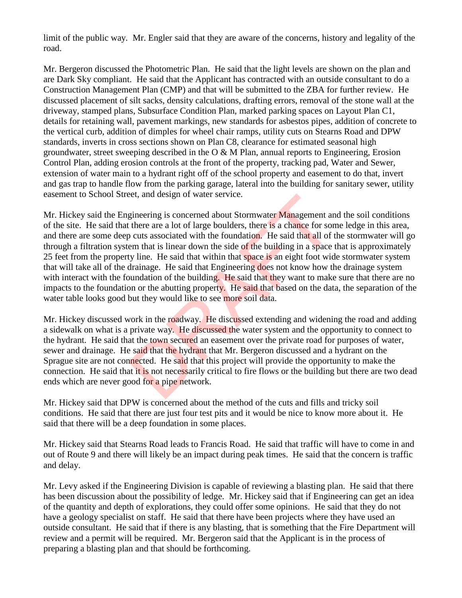limit of the public way. Mr. Engler said that they are aware of the concerns, history and legality of the road.

Mr. Bergeron discussed the Photometric Plan. He said that the light levels are shown on the plan and are Dark Sky compliant. He said that the Applicant has contracted with an outside consultant to do a Construction Management Plan (CMP) and that will be submitted to the ZBA for further review. He discussed placement of silt sacks, density calculations, drafting errors, removal of the stone wall at the driveway, stamped plans, Subsurface Condition Plan, marked parking spaces on Layout Plan C1, details for retaining wall, pavement markings, new standards for asbestos pipes, addition of concrete to the vertical curb, addition of dimples for wheel chair ramps, utility cuts on Stearns Road and DPW standards, inverts in cross sections shown on Plan C8, clearance for estimated seasonal high groundwater, street sweeping described in the O & M Plan, annual reports to Engineering, Erosion Control Plan, adding erosion controls at the front of the property, tracking pad, Water and Sewer, extension of water main to a hydrant right off of the school property and easement to do that, invert and gas trap to handle flow from the parking garage, lateral into the building for sanitary sewer, utility easement to School Street, and design of water service.

Mr. Hickey said the Engineering is concerned about Stormwater Management and the soil conditions of the site. He said that there are a lot of large boulders, there is a chance for some ledge in this area, and there are some deep cuts associated with the foundation. He said that all of the stormwater will go through a filtration system that is linear down the side of the building in a space that is approximately 25 feet from the property line. He said that within that space is an eight foot wide stormwater system that will take all of the drainage. He said that Engineering does not know how the drainage system with interact with the foundation of the building. He said that they want to make sure that there are no impacts to the foundation or the abutting property. He said that based on the data, the separation of the water table looks good but they would like to see more soil data. et, and design of water service.<br>
gineering is concerned about Stormwater Management at<br>
there are a lot of large boulders, there is a chance for some<br>
cuts associated with the foundation. He said that all of<br>
em that is l

Mr. Hickey discussed work in the roadway. He discussed extending and widening the road and adding a sidewalk on what is a private way. He discussed the water system and the opportunity to connect to the hydrant. He said that the town secured an easement over the private road for purposes of water, sewer and drainage. He said that the hydrant that Mr. Bergeron discussed and a hydrant on the Sprague site are not connected. He said that this project will provide the opportunity to make the connection. He said that it is not necessarily critical to fire flows or the building but there are two dead ends which are never good for a pipe network.

Mr. Hickey said that DPW is concerned about the method of the cuts and fills and tricky soil conditions. He said that there are just four test pits and it would be nice to know more about it. He said that there will be a deep foundation in some places.

Mr. Hickey said that Stearns Road leads to Francis Road. He said that traffic will have to come in and out of Route 9 and there will likely be an impact during peak times. He said that the concern is traffic and delay.

Mr. Levy asked if the Engineering Division is capable of reviewing a blasting plan. He said that there has been discussion about the possibility of ledge. Mr. Hickey said that if Engineering can get an idea of the quantity and depth of explorations, they could offer some opinions. He said that they do not have a geology specialist on staff. He said that there have been projects where they have used an outside consultant. He said that if there is any blasting, that is something that the Fire Department will review and a permit will be required. Mr. Bergeron said that the Applicant is in the process of preparing a blasting plan and that should be forthcoming.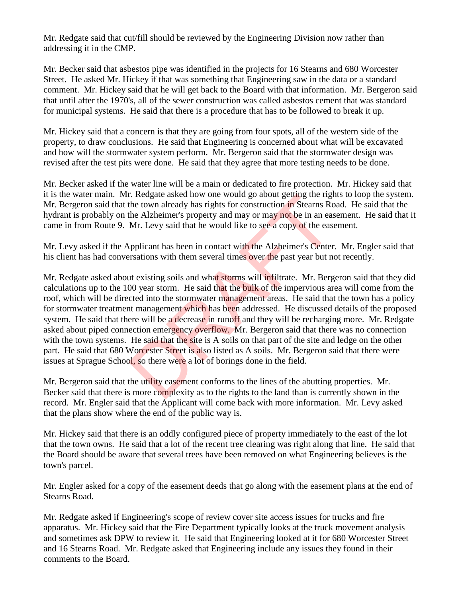Mr. Redgate said that cut/fill should be reviewed by the Engineering Division now rather than addressing it in the CMP.

Mr. Becker said that asbestos pipe was identified in the projects for 16 Stearns and 680 Worcester Street. He asked Mr. Hickey if that was something that Engineering saw in the data or a standard comment. Mr. Hickey said that he will get back to the Board with that information. Mr. Bergeron said that until after the 1970's, all of the sewer construction was called asbestos cement that was standard for municipal systems. He said that there is a procedure that has to be followed to break it up.

Mr. Hickey said that a concern is that they are going from four spots, all of the western side of the property, to draw conclusions. He said that Engineering is concerned about what will be excavated and how will the stormwater system perform. Mr. Bergeron said that the stormwater design was revised after the test pits were done. He said that they agree that more testing needs to be done.

Mr. Becker asked if the water line will be a main or dedicated to fire protection. Mr. Hickey said that it is the water main. Mr. Redgate asked how one would go about getting the rights to loop the system. Mr. Bergeron said that the town already has rights for construction in Stearns Road. He said that the hydrant is probably on the Alzheimer's property and may or may not be in an easement. He said that it came in from Route 9. Mr. Levy said that he would like to see a copy of the easement.

Mr. Levy asked if the Applicant has been in contact with the Alzheimer's Center. Mr. Engler said that his client has had conversations with them several times over the past year but not recently.

Mr. Redgate asked about existing soils and what storms will infiltrate. Mr. Bergeron said that they did calculations up to the 100 year storm. He said that the bulk of the impervious area will come from the roof, which will be directed into the stormwater management areas. He said that the town has a policy for stormwater treatment management which has been addressed. He discussed details of the proposed system. He said that there will be a decrease in runoff and they will be recharging more. Mr. Redgate asked about piped connection emergency overflow. Mr. Bergeron said that there was no connection with the town systems. He said that the site is A soils on that part of the site and ledge on the other part. He said that 680 Worcester Street is also listed as A soils. Mr. Bergeron said that there were issues at Sprague School, so there were a lot of borings done in the field. r. Redgate asked now one would go about getting the right<br>the town already has rights for construction in Stearns Rc<br>the Alzheimer's property and may or may not be in an eas<br>Mr. Levy said that he would like to see a copy o

Mr. Bergeron said that the utility easement conforms to the lines of the abutting properties. Mr. Becker said that there is more complexity as to the rights to the land than is currently shown in the record. Mr. Engler said that the Applicant will come back with more information. Mr. Levy asked that the plans show where the end of the public way is.

Mr. Hickey said that there is an oddly configured piece of property immediately to the east of the lot that the town owns. He said that a lot of the recent tree clearing was right along that line. He said that the Board should be aware that several trees have been removed on what Engineering believes is the town's parcel.

Mr. Engler asked for a copy of the easement deeds that go along with the easement plans at the end of Stearns Road.

Mr. Redgate asked if Engineering's scope of review cover site access issues for trucks and fire apparatus. Mr. Hickey said that the Fire Department typically looks at the truck movement analysis and sometimes ask DPW to review it. He said that Engineering looked at it for 680 Worcester Street and 16 Stearns Road. Mr. Redgate asked that Engineering include any issues they found in their comments to the Board.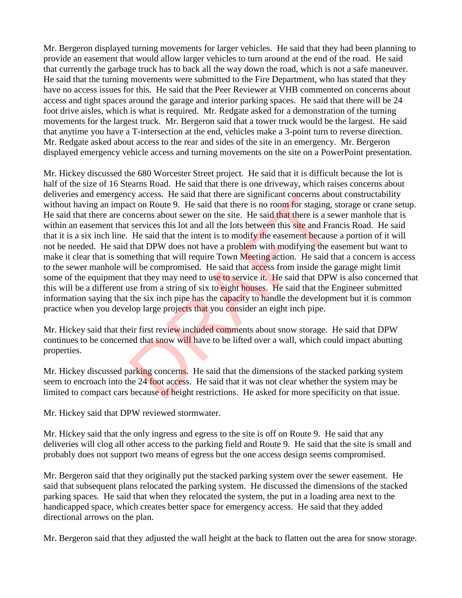Mr. Bergeron displayed turning movements for larger vehicles. He said that they had been planning to provide an easement that would allow larger vehicles to turn around at the end of the road. He said that currently the garbage truck has to back all the way down the road, which is not a safe maneuver. He said that the turning movements were submitted to the Fire Department, who has stated that they have no access issues for this. He said that the Peer Reviewer at VHB commented on concerns about access and tight spaces around the garage and interior parking spaces. He said that there will be 24 foot drive aisles, which is what is required. Mr. Redgate asked for a demonstration of the turning movements for the largest truck. Mr. Bergeron said that a tower truck would be the largest. He said that anytime you have a T-intersection at the end, vehicles make a 3-point turn to reverse direction. Mr. Redgate asked about access to the rear and sides of the site in an emergency. Mr. Bergeron displayed emergency vehicle access and turning movements on the site on a PowerPoint presentation.

Mr. Hickey discussed the 680 Worcester Street project. He said that it is difficult because the lot is half of the size of 16 Stearns Road. He said that there is one driveway, which raises concerns about deliveries and emergency access. He said that there are significant concerns about constructability without having an impact on Route 9. He said that there is no room for staging, storage or crane setup. He said that there are concerns about sewer on the site. He said that there is a sewer manhole that is within an easement that services this lot and all the lots between this site and Francis Road. He said that it is a six inch line. He said that the intent is to modify the easement because a portion of it will not be needed. He said that DPW does not have a problem with modifying the easement but want to make it clear that is something that will require Town Meeting action. He said that a concern is access to the sewer manhole will be compromised. He said that access from inside the garage might limit some of the equipment that they may need to use to service it. He said that DPW is also concerned that this will be a different use from a string of six to eight houses. He said that the Engineer submitted information saying that the six inch pipe has the capacity to handle the development but it is common practice when you develop large projects that you consider an eight inch pipe. by access. He said that there are sigminant concerns about concerns about sever on the site. He said that there is a se services this lot and all the lots between this site and Fra He said that the intent is to modify the

Mr. Hickey said that their first review included comments about snow storage. He said that DPW continues to be concerned that snow will have to be lifted over a wall, which could impact abutting properties.

Mr. Hickey discussed parking concerns. He said that the dimensions of the stacked parking system seem to encroach into the 24 foot access. He said that it was not clear whether the system may be limited to compact cars because of height restrictions. He asked for more specificity on that issue.

Mr. Hickey said that DPW reviewed stormwater.

Mr. Hickey said that the only ingress and egress to the site is off on Route 9. He said that any deliveries will clog all other access to the parking field and Route 9. He said that the site is small and probably does not support two means of egress but the one access design seems compromised.

Mr. Bergeron said that they originally put the stacked parking system over the sewer easement. He said that subsequent plans relocated the parking system. He discussed the dimensions of the stacked parking spaces. He said that when they relocated the system, the put in a loading area next to the handicapped space, which creates better space for emergency access. He said that they added directional arrows on the plan.

Mr. Bergeron said that they adjusted the wall height at the back to flatten out the area for snow storage.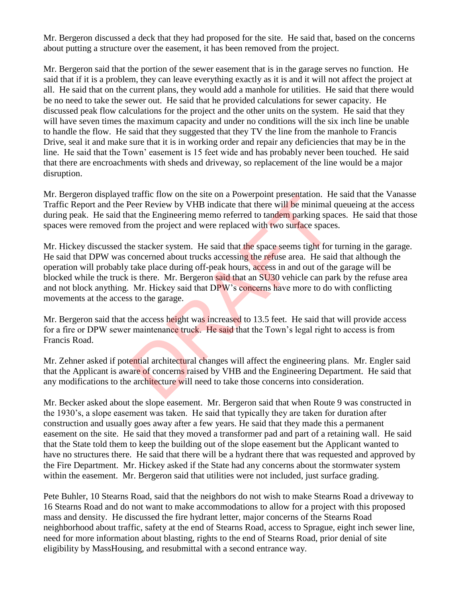Mr. Bergeron discussed a deck that they had proposed for the site. He said that, based on the concerns about putting a structure over the easement, it has been removed from the project.

Mr. Bergeron said that the portion of the sewer easement that is in the garage serves no function. He said that if it is a problem, they can leave everything exactly as it is and it will not affect the project at all. He said that on the current plans, they would add a manhole for utilities. He said that there would be no need to take the sewer out. He said that he provided calculations for sewer capacity. He discussed peak flow calculations for the project and the other units on the system. He said that they will have seven times the maximum capacity and under no conditions will the six inch line be unable to handle the flow. He said that they suggested that they TV the line from the manhole to Francis Drive, seal it and make sure that it is in working order and repair any deficiencies that may be in the line. He said that the Town' easement is 15 feet wide and has probably never been touched. He said that there are encroachments with sheds and driveway, so replacement of the line would be a major disruption.

Mr. Bergeron displayed traffic flow on the site on a Powerpoint presentation. He said that the Vanasse Traffic Report and the Peer Review by VHB indicate that there will be minimal queueing at the access during peak. He said that the Engineering memo referred to tandem parking spaces. He said that those spaces were removed from the project and were replaced with two surface spaces.

Mr. Hickey discussed the stacker system. He said that the space seems tight for turning in the garage. He said that DPW was concerned about trucks accessing the refuse area. He said that although the operation will probably take place during off-peak hours, access in and out of the garage will be blocked while the truck is there. Mr. Bergeron said that an SU30 vehicle can park by the refuse area and not block anything. Mr. Hickey said that DPW's concerns have more to do with conflicting movements at the access to the garage. Traince now on the site on a Powerpoint presentation. Here Review by VHB indicate that there will be minimal<br>at the Engineering memo referred to tandem parking spa<br>om the project and were replaced with two surface space<br>ne

Mr. Bergeron said that the access height was increased to 13.5 feet. He said that will provide access for a fire or DPW sewer maintenance truck. He said that the Town's legal right to access is from Francis Road.

Mr. Zehner asked if potential architectural changes will affect the engineering plans. Mr. Engler said that the Applicant is aware of concerns raised by VHB and the Engineering Department. He said that any modifications to the architecture will need to take those concerns into consideration.

Mr. Becker asked about the slope easement. Mr. Bergeron said that when Route 9 was constructed in the 1930's, a slope easement was taken. He said that typically they are taken for duration after construction and usually goes away after a few years. He said that they made this a permanent easement on the site. He said that they moved a transformer pad and part of a retaining wall. He said that the State told them to keep the building out of the slope easement but the Applicant wanted to have no structures there. He said that there will be a hydrant there that was requested and approved by the Fire Department. Mr. Hickey asked if the State had any concerns about the stormwater system within the easement. Mr. Bergeron said that utilities were not included, just surface grading.

Pete Buhler, 10 Stearns Road, said that the neighbors do not wish to make Stearns Road a driveway to 16 Stearns Road and do not want to make accommodations to allow for a project with this proposed mass and density. He discussed the fire hydrant letter, major concerns of the Stearns Road neighborhood about traffic, safety at the end of Stearns Road, access to Sprague, eight inch sewer line, need for more information about blasting, rights to the end of Stearns Road, prior denial of site eligibility by MassHousing, and resubmittal with a second entrance way.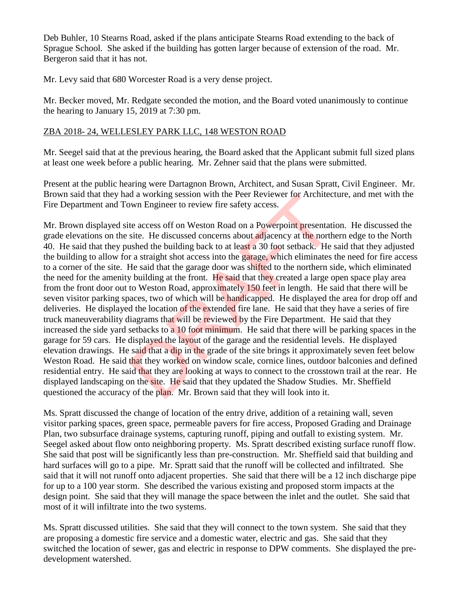Deb Buhler, 10 Stearns Road, asked if the plans anticipate Stearns Road extending to the back of Sprague School. She asked if the building has gotten larger because of extension of the road. Mr. Bergeron said that it has not.

Mr. Levy said that 680 Worcester Road is a very dense project.

Mr. Becker moved, Mr. Redgate seconded the motion, and the Board voted unanimously to continue the hearing to January 15, 2019 at 7:30 pm.

## ZBA 2018- 24, WELLESLEY PARK LLC, 148 WESTON ROAD

Mr. Seegel said that at the previous hearing, the Board asked that the Applicant submit full sized plans at least one week before a public hearing. Mr. Zehner said that the plans were submitted.

Present at the public hearing were Dartagnon Brown, Architect, and Susan Spratt, Civil Engineer. Mr. Brown said that they had a working session with the Peer Reviewer for Architecture, and met with the Fire Department and Town Engineer to review fire safety access.

Mr. Brown displayed site access off on Weston Road on a Powerpoint presentation. He discussed the grade elevations on the site. He discussed concerns about adjacency at the northern edge to the North 40. He said that they pushed the building back to at least a 30 foot setback. He said that they adjusted the building to allow for a straight shot access into the garage, which eliminates the need for fire access to a corner of the site. He said that the garage door was shifted to the northern side, which eliminated the need for the amenity building at the front. He said that they created a large open space play area from the front door out to Weston Road, approximately 150 feet in length. He said that there will be seven visitor parking spaces, two of which will be handicapped. He displayed the area for drop off and deliveries. He displayed the location of the extended fire lane. He said that they have a series of fire truck maneuverability diagrams that will be reviewed by the Fire Department. He said that they increased the side yard setbacks to a 10 foot minimum. He said that there will be parking spaces in the garage for 59 cars. He displayed the layout of the garage and the residential levels. He displayed elevation drawings. He said that a dip in the grade of the site brings it approximately seven feet below Weston Road. He said that they worked on window scale, cornice lines, outdoor balconies and defined residential entry. He said that they are looking at ways to connect to the crosstown trail at the rear. He displayed landscaping on the site. He said that they updated the Shadow Studies. Mr. Sheffield questioned the accuracy of the plan. Mr. Brown said that they will look into it. at a working session with the Peer Reviewer for Architect<br>win Engineer to review fire safety access.<br>te access off on Weston Road on a Powerpoint presentati<br>site. He discussed concerns about adjacency at the north<br>site at

Ms. Spratt discussed the change of location of the entry drive, addition of a retaining wall, seven visitor parking spaces, green space, permeable pavers for fire access, Proposed Grading and Drainage Plan, two subsurface drainage systems, capturing runoff, piping and outfall to existing system. Mr. Seegel asked about flow onto neighboring property. Ms. Spratt described existing surface runoff flow. She said that post will be significantly less than pre-construction. Mr. Sheffield said that building and hard surfaces will go to a pipe. Mr. Spratt said that the runoff will be collected and infiltrated. She said that it will not runoff onto adjacent properties. She said that there will be a 12 inch discharge pipe for up to a 100 year storm. She described the various existing and proposed storm impacts at the design point. She said that they will manage the space between the inlet and the outlet. She said that most of it will infiltrate into the two systems.

Ms. Spratt discussed utilities. She said that they will connect to the town system. She said that they are proposing a domestic fire service and a domestic water, electric and gas. She said that they switched the location of sewer, gas and electric in response to DPW comments. She displayed the predevelopment watershed.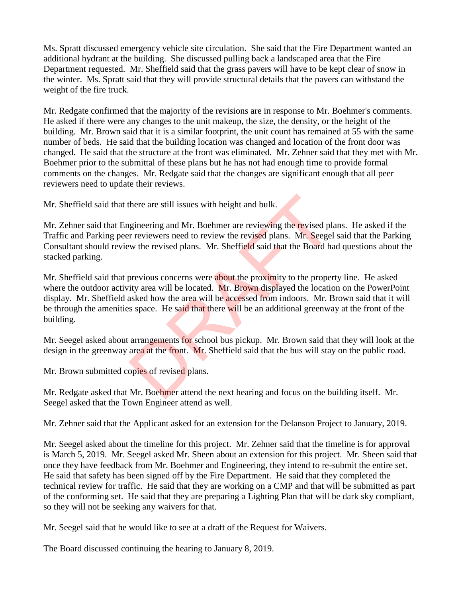Ms. Spratt discussed emergency vehicle site circulation. She said that the Fire Department wanted an additional hydrant at the building. She discussed pulling back a landscaped area that the Fire Department requested. Mr. Sheffield said that the grass pavers will have to be kept clear of snow in the winter. Ms. Spratt said that they will provide structural details that the pavers can withstand the weight of the fire truck.

Mr. Redgate confirmed that the majority of the revisions are in response to Mr. Boehmer's comments. He asked if there were any changes to the unit makeup, the size, the density, or the height of the building. Mr. Brown said that it is a similar footprint, the unit count has remained at 55 with the same number of beds. He said that the building location was changed and location of the front door was changed. He said that the structure at the front was eliminated. Mr. Zehner said that they met with Mr. Boehmer prior to the submittal of these plans but he has not had enough time to provide formal comments on the changes. Mr. Redgate said that the changes are significant enough that all peer reviewers need to update their reviews.

Mr. Sheffield said that there are still issues with height and bulk.

Mr. Zehner said that Engineering and Mr. Boehmer are reviewing the revised plans. He asked if the Traffic and Parking peer reviewers need to review the revised plans. Mr. Seegel said that the Parking Consultant should review the revised plans. Mr. Sheffield said that the Board had questions about the stacked parking.

Mr. Sheffield said that previous concerns were about the proximity to the property line. He asked where the outdoor activity area will be located. Mr. Brown displayed the location on the PowerPoint display. Mr. Sheffield asked how the area will be accessed from indoors. Mr. Brown said that it will be through the amenities space. He said that there will be an additional greenway at the front of the building. there are still issues with height and bulk.<br>
gineering and Mr. Boehmer are reviewing the revised plant of reviewers need to review the revised plans. Mr. Seegel<br>
w the revised plans. Mr. Sheffield said that the Board has<br>

Mr. Seegel asked about arrangements for school bus pickup. Mr. Brown said that they will look at the design in the greenway area at the front. Mr. Sheffield said that the bus will stay on the public road.

Mr. Brown submitted copies of revised plans.

Mr. Redgate asked that Mr. Boehmer attend the next hearing and focus on the building itself. Mr. Seegel asked that the Town Engineer attend as well.

Mr. Zehner said that the Applicant asked for an extension for the Delanson Project to January, 2019.

Mr. Seegel asked about the timeline for this project. Mr. Zehner said that the timeline is for approval is March 5, 2019. Mr. Seegel asked Mr. Sheen about an extension for this project. Mr. Sheen said that once they have feedback from Mr. Boehmer and Engineering, they intend to re-submit the entire set. He said that safety has been signed off by the Fire Department. He said that they completed the technical review for traffic. He said that they are working on a CMP and that will be submitted as part of the conforming set. He said that they are preparing a Lighting Plan that will be dark sky compliant, so they will not be seeking any waivers for that.

Mr. Seegel said that he would like to see at a draft of the Request for Waivers.

The Board discussed continuing the hearing to January 8, 2019.